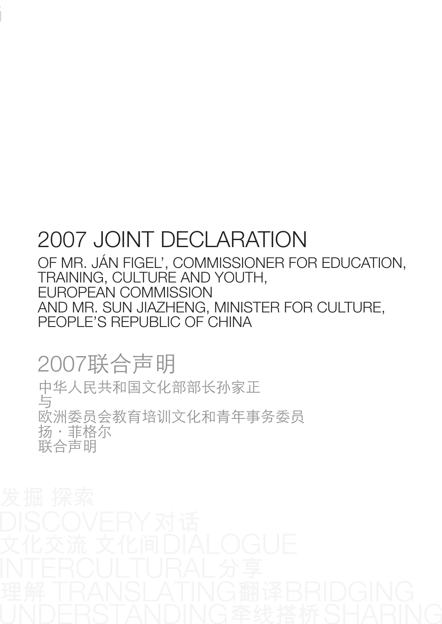## 2007 joint declaration

Of Mr. Ján Figel', Commissioner for Education, Training, Culture and Youth, European Commission And Mr. Sun Jiazheng, Minister for Culture, People's Republic of China

2007联合声明

中华人民共和国文化部部长孙家正 与 欧洲委员会教育培训文化和青年事务委员 扬·菲格尔 联合声明

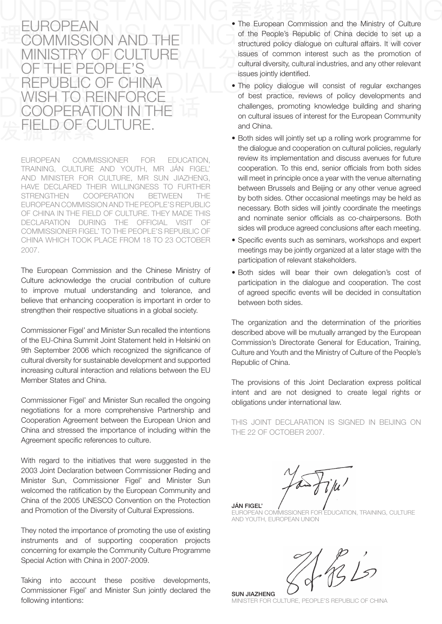## **EUROPEAN** EUNUMEAIN<br>COMMISSION AND MINISTRY OF CULTURE of the people's republic of china Wish to reinforce cooperation in the D OF CULTURE

european coMMissioner for education, training, culture and Youth, Mr ján figel' and Minister for culture, Mr sun jiazheng, haVe declared their Willingness to further strengthen cooperation betWeen the european coMMission and the people's republic of china in the field of culture. theY Made this declaration during the official Visit of coMMissioner figel' to the people's republic of china Which tooK place froM 18 to 23 october 2007.

The European Commission and the Chinese Ministry of culture acknowledge the crucial contribution of culture to improve mutual understanding and tolerance, and believe that enhancing cooperation is important in order to strengthen their respective situations in a global society.

Commissioner Figel' and Minister Sun recalled the intentions of the EU-China Summit Joint Statement held in Helsinki on 9th September 2006 which recognized the significance of cultural diversity for sustainable development and supported increasing cultural interaction and relations between the FU Member states and china.

Commissioner Figel' and Minister Sun recalled the ongoing negotiations for a more comprehensive partnership and Cooperation Agreement between the European Union and china and stressed the importance of including within the Agreement specific references to culture.

With regard to the initiatives that were suggested in the 2003 Joint Declaration between Commissioner Reding and Minister Sun, Commissioner Figel' and Minister Sun welcomed the ratification by the European Community and China of the 2005 UNESCO Convention on the Protection and Promotion of the Diversity of Cultural Expressions.

They noted the importance of promoting the use of existing instruments and of supporting cooperation projects concerning for example the community culture programme Special Action with China in 2007-2009.

Taking into account these positive developments, Commissioner Figel' and Minister Sun jointly declared the following intentions:

- The European Commission and the Ministry of Culture of the People's Republic of China decide to set up a structured policy dialogue on cultural affairs. it will cover issues of common interest such as the promotion of cultural diversity, cultural industries, and any other relevant issues jointly identified.
- The policy dialogue will consist of regular exchanges of best practice, reviews of policy developments and challenges, promoting knowledge building and sharing on cultural issues of interest for the European Community and china.
- Both sides will jointly set up a rolling work programme for the dialogue and cooperation on cultural policies, regularly review its implementation and discuss avenues for future cooperation. To this end, senior officials from both sides will meet in principle once a year with the venue alternating between brussels and beijing or any other venue agreed by both sides. Other occasional meetings may be held as necessary. Both sides will jointly coordinate the meetings and nominate senior officials as co-chairpersons. Both sides will produce agreed conclusions after each meeting.
- Specific events such as seminars, workshops and expert meetings may be jointly organized at a later stage with the participation of relevant stakeholders.
- Both sides will bear their own delegation's cost of participation in the dialogue and cooperation. The cost of agreed specific events will be decided in consultation between both sides.

The organization and the determination of the priorities described above will be mutually arranged by the European Commission's Directorate General for Education, Training, culture and Youth and the Ministry of culture of the people's Republic of China.

The provisions of this Joint Declaration express political intent and are not designed to create legal rights or obligations under international law.

this joint declaration is signed in beijing on THE 22 OF OCTOBER 2007.

**JÁN FIGEL' / /**<br>EUROPEAN COMMISSIONER FOF .<br>EDUCATION, TRAINING, CULTURE and Youth, european union

 $165$ 

SUN JIAZHENG Minister for culture, people's republic of china